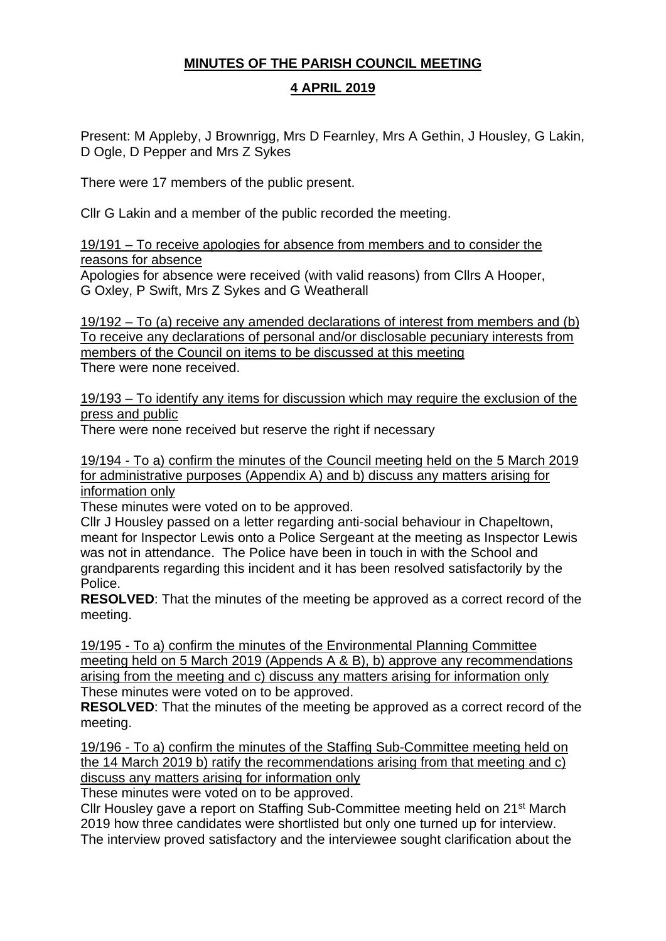# **MINUTES OF THE PARISH COUNCIL MEETING**

# **4 APRIL 2019**

Present: M Appleby, J Brownrigg, Mrs D Fearnley, Mrs A Gethin, J Housley, G Lakin, D Ogle, D Pepper and Mrs Z Sykes

There were 17 members of the public present.

Cllr G Lakin and a member of the public recorded the meeting.

19/191 – To receive apologies for absence from members and to consider the reasons for absence

Apologies for absence were received (with valid reasons) from Cllrs A Hooper, G Oxley, P Swift, Mrs Z Sykes and G Weatherall

19/192 – To (a) receive any amended declarations of interest from members and (b) To receive any declarations of personal and/or disclosable pecuniary interests from members of the Council on items to be discussed at this meeting There were none received.

19/193 – To identify any items for discussion which may require the exclusion of the press and public

There were none received but reserve the right if necessary

19/194 - To a) confirm the minutes of the Council meeting held on the 5 March 2019 for administrative purposes (Appendix A) and b) discuss any matters arising for information only

These minutes were voted on to be approved.

Cllr J Housley passed on a letter regarding anti-social behaviour in Chapeltown, meant for Inspector Lewis onto a Police Sergeant at the meeting as Inspector Lewis was not in attendance. The Police have been in touch in with the School and grandparents regarding this incident and it has been resolved satisfactorily by the Police.

**RESOLVED**: That the minutes of the meeting be approved as a correct record of the meeting.

19/195 - To a) confirm the minutes of the Environmental Planning Committee meeting held on 5 March 2019 (Appends A & B), b) approve any recommendations arising from the meeting and c) discuss any matters arising for information only These minutes were voted on to be approved.

**RESOLVED**: That the minutes of the meeting be approved as a correct record of the meeting.

19/196 - To a) confirm the minutes of the Staffing Sub-Committee meeting held on the 14 March 2019 b) ratify the recommendations arising from that meeting and c) discuss any matters arising for information only

These minutes were voted on to be approved.

Cllr Housley gave a report on Staffing Sub-Committee meeting held on 21st March 2019 how three candidates were shortlisted but only one turned up for interview. The interview proved satisfactory and the interviewee sought clarification about the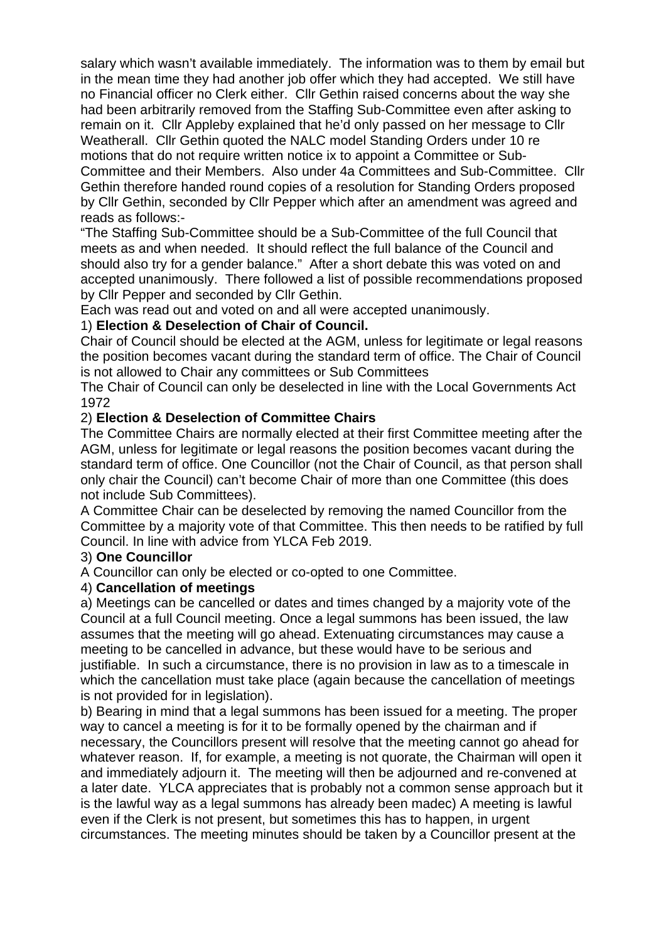salary which wasn't available immediately. The information was to them by email but in the mean time they had another job offer which they had accepted. We still have no Financial officer no Clerk either. Cllr Gethin raised concerns about the way she had been arbitrarily removed from the Staffing Sub-Committee even after asking to remain on it. Cllr Appleby explained that he'd only passed on her message to Cllr Weatherall. Cllr Gethin quoted the NALC model Standing Orders under 10 re motions that do not require written notice ix to appoint a Committee or Sub-Committee and their Members. Also under 4a Committees and Sub-Committee. Cllr Gethin therefore handed round copies of a resolution for Standing Orders proposed by Cllr Gethin, seconded by Cllr Pepper which after an amendment was agreed and reads as follows:-

"The Staffing Sub-Committee should be a Sub-Committee of the full Council that meets as and when needed. It should reflect the full balance of the Council and should also try for a gender balance." After a short debate this was voted on and accepted unanimously. There followed a list of possible recommendations proposed by Cllr Pepper and seconded by Cllr Gethin.

Each was read out and voted on and all were accepted unanimously.

### 1) **Election & Deselection of Chair of Council.**

Chair of Council should be elected at the AGM, unless for legitimate or legal reasons the position becomes vacant during the standard term of office. The Chair of Council is not allowed to Chair any committees or Sub Committees

The Chair of Council can only be deselected in line with the Local Governments Act 1972

### 2) **Election & Deselection of Committee Chairs**

The Committee Chairs are normally elected at their first Committee meeting after the AGM, unless for legitimate or legal reasons the position becomes vacant during the standard term of office. One Councillor (not the Chair of Council, as that person shall only chair the Council) can't become Chair of more than one Committee (this does not include Sub Committees).

A Committee Chair can be deselected by removing the named Councillor from the Committee by a majority vote of that Committee. This then needs to be ratified by full Council. In line with advice from YLCA Feb 2019.

### 3) **One Councillor**

A Councillor can only be elected or co-opted to one Committee.

### 4) **Cancellation of meetings**

a) Meetings can be cancelled or dates and times changed by a majority vote of the Council at a full Council meeting. Once a legal summons has been issued, the law assumes that the meeting will go ahead. Extenuating circumstances may cause a meeting to be cancelled in advance, but these would have to be serious and justifiable. In such a circumstance, there is no provision in law as to a timescale in which the cancellation must take place (again because the cancellation of meetings is not provided for in legislation).

b) Bearing in mind that a legal summons has been issued for a meeting. The proper way to cancel a meeting is for it to be formally opened by the chairman and if necessary, the Councillors present will resolve that the meeting cannot go ahead for whatever reason. If, for example, a meeting is not quorate, the Chairman will open it and immediately adjourn it. The meeting will then be adjourned and re-convened at a later date. YLCA appreciates that is probably not a common sense approach but it is the lawful way as a legal summons has already been madec) A meeting is lawful even if the Clerk is not present, but sometimes this has to happen, in urgent circumstances. The meeting minutes should be taken by a Councillor present at the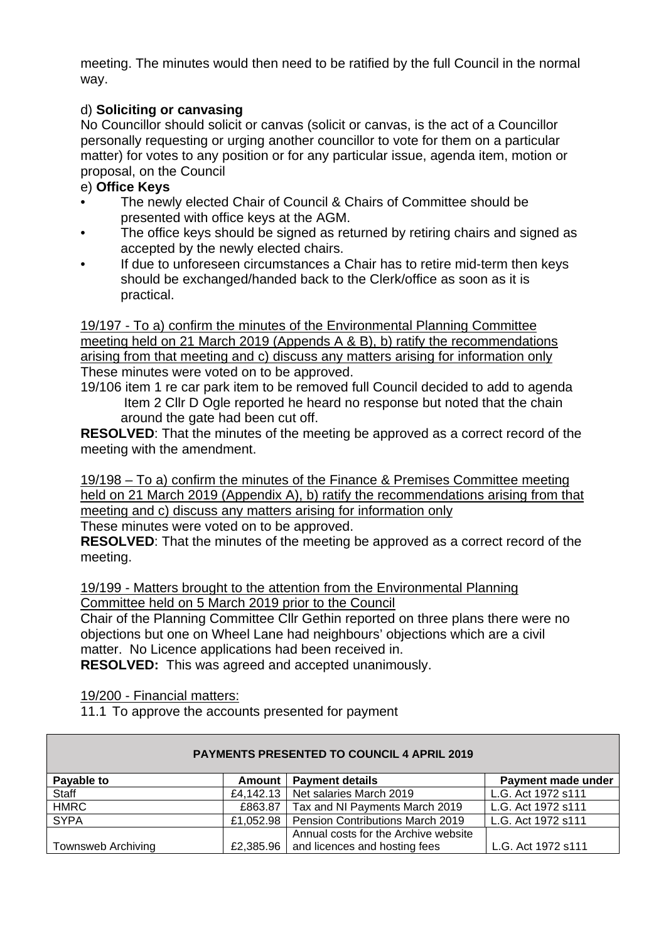meeting. The minutes would then need to be ratified by the full Council in the normal way.

# d) **Soliciting or canvasing**

No Councillor should solicit or canvas (solicit or canvas, is the act of a Councillor personally requesting or urging another councillor to vote for them on a particular matter) for votes to any position or for any particular issue, agenda item, motion or proposal, on the Council

### e) **Office Keys**

- The newly elected Chair of Council & Chairs of Committee should be presented with office keys at the AGM.
- The office keys should be signed as returned by retiring chairs and signed as accepted by the newly elected chairs.
- If due to unforeseen circumstances a Chair has to retire mid-term then keys should be exchanged/handed back to the Clerk/office as soon as it is practical.

19/197 - To a) confirm the minutes of the Environmental Planning Committee meeting held on 21 March 2019 (Appends A & B), b) ratify the recommendations arising from that meeting and c) discuss any matters arising for information only These minutes were voted on to be approved.

19/106 item 1 re car park item to be removed full Council decided to add to agenda Item 2 Cllr D Ogle reported he heard no response but noted that the chain around the gate had been cut off.

**RESOLVED**: That the minutes of the meeting be approved as a correct record of the meeting with the amendment.

19/198 – To a) confirm the minutes of the Finance & Premises Committee meeting held on 21 March 2019 (Appendix A), b) ratify the recommendations arising from that meeting and c) discuss any matters arising for information only

These minutes were voted on to be approved.

**RESOLVED**: That the minutes of the meeting be approved as a correct record of the meeting.

19/199 - Matters brought to the attention from the Environmental Planning Committee held on 5 March 2019 prior to the Council

Chair of the Planning Committee Cllr Gethin reported on three plans there were no objections but one on Wheel Lane had neighbours' objections which are a civil matter. No Licence applications had been received in.

**RESOLVED:** This was agreed and accepted unanimously.

19/200 - Financial matters:

11.1 To approve the accounts presented for payment

| <b>PAYMENTS PRESENTED TO COUNCIL 4 APRIL 2019</b> |               |                                      |                    |  |
|---------------------------------------------------|---------------|--------------------------------------|--------------------|--|
| Payable to                                        | <b>Amount</b> | <b>Payment details</b>               | Payment made under |  |
| Staff                                             | £4,142.13     | Net salaries March 2019              | L.G. Act 1972 s111 |  |
| <b>HMRC</b>                                       | £863.87       | Tax and NI Payments March 2019       | L.G. Act 1972 s111 |  |
| <b>SYPA</b>                                       | £1,052.98     | Pension Contributions March 2019     | L.G. Act 1972 s111 |  |
|                                                   |               | Annual costs for the Archive website |                    |  |
| <b>Townsweb Archiving</b>                         | £2,385.96     | and licences and hosting fees        | L.G. Act 1972 s111 |  |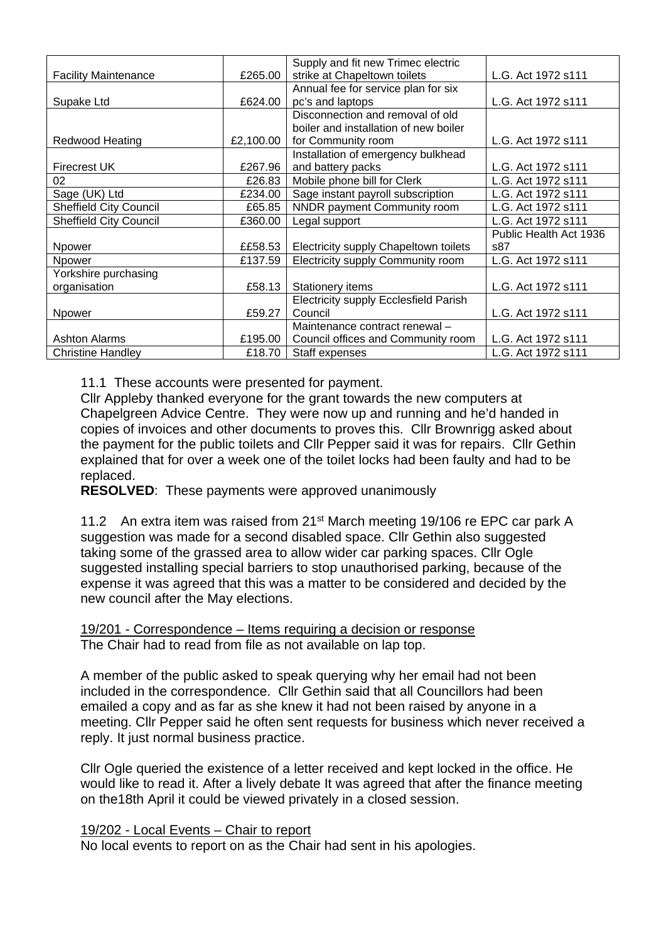|                               |           | Supply and fit new Trimec electric           |                        |
|-------------------------------|-----------|----------------------------------------------|------------------------|
| <b>Facility Maintenance</b>   | £265.00   | strike at Chapeltown toilets                 | L.G. Act 1972 s111     |
|                               |           | Annual fee for service plan for six          |                        |
| Supake Ltd                    | £624.00   | pc's and laptops                             | L.G. Act 1972 s111     |
|                               |           | Disconnection and removal of old             |                        |
|                               |           | boiler and installation of new boiler        |                        |
| <b>Redwood Heating</b>        | £2,100.00 | for Community room                           | L.G. Act 1972 s111     |
|                               |           | Installation of emergency bulkhead           |                        |
| <b>Firecrest UK</b>           | £267.96   | and battery packs                            | L.G. Act 1972 s111     |
| 02                            | £26.83    | Mobile phone bill for Clerk                  | L.G. Act 1972 s111     |
| Sage (UK) Ltd                 | £234.00   | Sage instant payroll subscription            | L.G. Act 1972 s111     |
| <b>Sheffield City Council</b> | £65.85    | NNDR payment Community room                  | L.G. Act 1972 s111     |
| <b>Sheffield City Council</b> | £360.00   | Legal support                                | L.G. Act 1972 s111     |
|                               |           |                                              | Public Health Act 1936 |
| Npower                        | ££58.53   | Electricity supply Chapeltown toilets        | s87                    |
| Npower                        | £137.59   | Electricity supply Community room            | L.G. Act 1972 s111     |
| Yorkshire purchasing          |           |                                              |                        |
| organisation                  | £58.13    | Stationery items                             | L.G. Act 1972 s111     |
|                               |           | <b>Electricity supply Ecclesfield Parish</b> |                        |
| Npower                        | £59.27    | Council                                      | L.G. Act 1972 s111     |
|                               |           | Maintenance contract renewal -               |                        |
| <b>Ashton Alarms</b>          | £195.00   | Council offices and Community room           | L.G. Act 1972 s111     |
| <b>Christine Handley</b>      | £18.70    | Staff expenses                               | L.G. Act 1972 s111     |

11.1 These accounts were presented for payment.

Cllr Appleby thanked everyone for the grant towards the new computers at Chapelgreen Advice Centre. They were now up and running and he'd handed in copies of invoices and other documents to proves this. Cllr Brownrigg asked about the payment for the public toilets and Cllr Pepper said it was for repairs. Cllr Gethin explained that for over a week one of the toilet locks had been faulty and had to be replaced.

**RESOLVED**:These payments were approved unanimously

11.2 An extra item was raised from 21<sup>st</sup> March meeting 19/106 re EPC car park A suggestion was made for a second disabled space. Cllr Gethin also suggested taking some of the grassed area to allow wider car parking spaces. Cllr Ogle suggested installing special barriers to stop unauthorised parking, because of the expense it was agreed that this was a matter to be considered and decided by the new council after the May elections.

19/201 - Correspondence – Items requiring a decision or response The Chair had to read from file as not available on lap top.

A member of the public asked to speak querying why her email had not been included in the correspondence. Cllr Gethin said that all Councillors had been emailed a copy and as far as she knew it had not been raised by anyone in a meeting. Cllr Pepper said he often sent requests for business which never received a reply. It just normal business practice.

Cllr Ogle queried the existence of a letter received and kept locked in the office. He would like to read it. After a lively debate It was agreed that after the finance meeting on the18th April it could be viewed privately in a closed session.

#### 19/202 - Local Events – Chair to report

No local events to report on as the Chair had sent in his apologies.